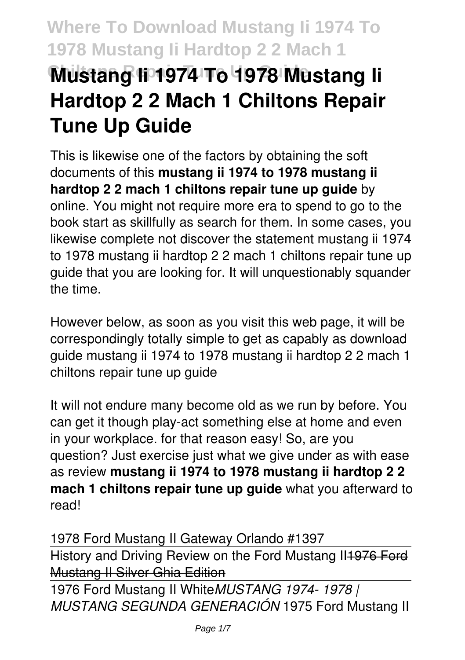# **Where To Download Mustang Ii 1974 To 1978 Mustang Ii Hardtop 2 2 Mach 1 Chiltons Repair Tune Up Guide Mustang Ii 1974 To 1978 Mustang Ii Hardtop 2 2 Mach 1 Chiltons Repair Tune Up Guide**

This is likewise one of the factors by obtaining the soft documents of this **mustang ii 1974 to 1978 mustang ii hardtop 2 2 mach 1 chiltons repair tune up guide** by online. You might not require more era to spend to go to the book start as skillfully as search for them. In some cases, you likewise complete not discover the statement mustang ii 1974 to 1978 mustang ii hardtop 2 2 mach 1 chiltons repair tune up guide that you are looking for. It will unquestionably squander the time.

However below, as soon as you visit this web page, it will be correspondingly totally simple to get as capably as download guide mustang ii 1974 to 1978 mustang ii hardtop 2 2 mach 1 chiltons repair tune up guide

It will not endure many become old as we run by before. You can get it though play-act something else at home and even in your workplace. for that reason easy! So, are you question? Just exercise just what we give under as with ease as review **mustang ii 1974 to 1978 mustang ii hardtop 2 2 mach 1 chiltons repair tune up guide** what you afterward to read!

1978 Ford Mustang II Gateway Orlando #1397 History and Driving Review on the Ford Mustang II1976 Ford Mustang II Silver Ghia Edition

1976 Ford Mustang II White*MUSTANG 1974- 1978 | MUSTANG SEGUNDA GENERACIÓN* 1975 Ford Mustang II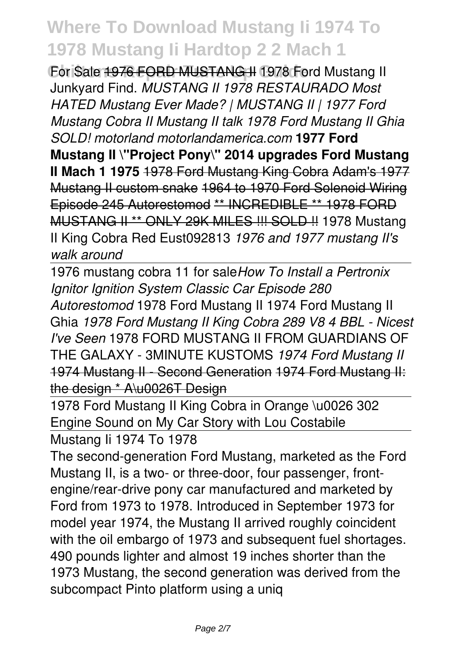For Sale 1976 FORD MUSTANG II 1978 Ford Mustang II Junkyard Find. *MUSTANG II 1978 RESTAURADO Most HATED Mustang Ever Made? | MUSTANG II | 1977 Ford Mustang Cobra II Mustang II talk 1978 Ford Mustang II Ghia SOLD! motorland motorlandamerica.com* **1977 Ford Mustang II \"Project Pony\" 2014 upgrades Ford Mustang II Mach 1 1975** 1978 Ford Mustang King Cobra Adam's 1977 Mustang II custom snake 1964 to 1970 Ford Solenoid Wiring Episode 245 Autorestomod \*\* INCREDIBLE \*\* 1978 FORD MUSTANG II \*\* ONLY 29K MILES !!! SOLD !! 1978 Mustang II King Cobra Red Eust092813 *1976 and 1977 mustang II's walk around*

1976 mustang cobra 11 for sale*How To Install a Pertronix Ignitor Ignition System Classic Car Episode 280 Autorestomod* 1978 Ford Mustang II 1974 Ford Mustang II Ghia *1978 Ford Mustang II King Cobra 289 V8 4 BBL - Nicest I've Seen* 1978 FORD MUSTANG II FROM GUARDIANS OF THE GALAXY - 3MINUTE KUSTOMS *1974 Ford Mustang II* 1974 Mustang II - Second Generation 1974 Ford Mustang II: the design \* A\u0026T Design

1978 Ford Mustang II King Cobra in Orange \u0026 302 Engine Sound on My Car Story with Lou Costabile

Mustang Ii 1974 To 1978

The second-generation Ford Mustang, marketed as the Ford Mustang II, is a two- or three-door, four passenger, frontengine/rear-drive pony car manufactured and marketed by Ford from 1973 to 1978. Introduced in September 1973 for model year 1974, the Mustang II arrived roughly coincident with the oil embargo of 1973 and subsequent fuel shortages. 490 pounds lighter and almost 19 inches shorter than the 1973 Mustang, the second generation was derived from the subcompact Pinto platform using a uniq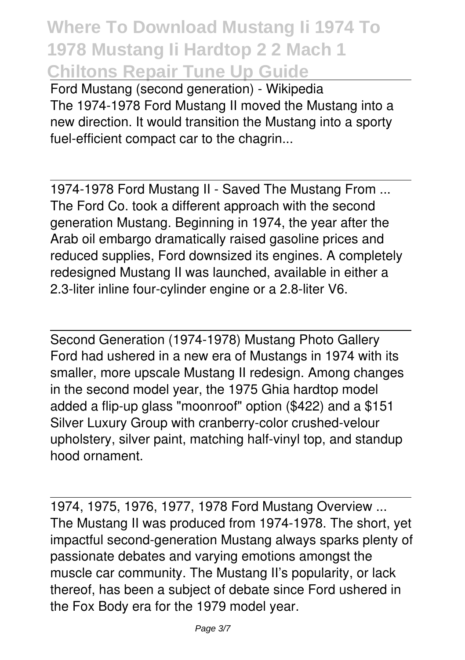**Where To Download Mustang Ii 1974 To 1978 Mustang Ii Hardtop 2 2 Mach 1 Chiltons Repair Tune Up Guide**

Ford Mustang (second generation) - Wikipedia The 1974-1978 Ford Mustang II moved the Mustang into a new direction. It would transition the Mustang into a sporty fuel-efficient compact car to the chagrin...

1974-1978 Ford Mustang II - Saved The Mustang From ... The Ford Co. took a different approach with the second generation Mustang. Beginning in 1974, the year after the Arab oil embargo dramatically raised gasoline prices and reduced supplies, Ford downsized its engines. A completely redesigned Mustang II was launched, available in either a 2.3-liter inline four-cylinder engine or a 2.8-liter V6.

Second Generation (1974-1978) Mustang Photo Gallery Ford had ushered in a new era of Mustangs in 1974 with its smaller, more upscale Mustang II redesign. Among changes in the second model year, the 1975 Ghia hardtop model added a flip-up glass "moonroof" option (\$422) and a \$151 Silver Luxury Group with cranberry-color crushed-velour upholstery, silver paint, matching half-vinyl top, and standup hood ornament.

1974, 1975, 1976, 1977, 1978 Ford Mustang Overview ... The Mustang II was produced from 1974-1978. The short, yet impactful second-generation Mustang always sparks plenty of passionate debates and varying emotions amongst the muscle car community. The Mustang II's popularity, or lack thereof, has been a subject of debate since Ford ushered in the Fox Body era for the 1979 model year.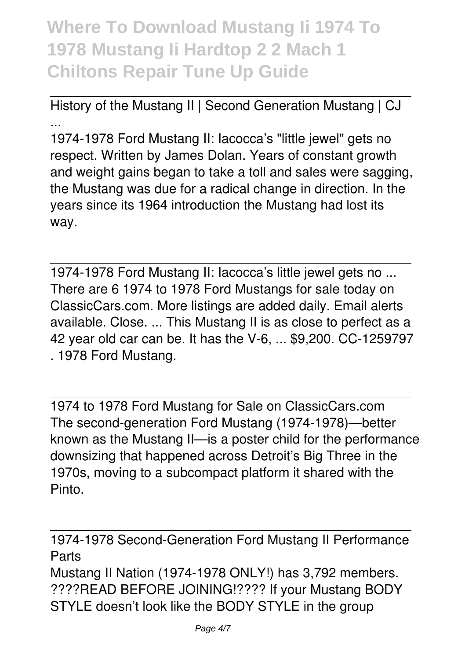**Where To Download Mustang Ii 1974 To 1978 Mustang Ii Hardtop 2 2 Mach 1 Chiltons Repair Tune Up Guide**

History of the Mustang II | Second Generation Mustang | CJ ...

1974-1978 Ford Mustang II: Iacocca's "little jewel" gets no respect. Written by James Dolan. Years of constant growth and weight gains began to take a toll and sales were sagging, the Mustang was due for a radical change in direction. In the years since its 1964 introduction the Mustang had lost its way.

1974-1978 Ford Mustang II: Iacocca's little jewel gets no ... There are 6 1974 to 1978 Ford Mustangs for sale today on ClassicCars.com. More listings are added daily. Email alerts available. Close. ... This Mustang II is as close to perfect as a 42 year old car can be. It has the V-6, ... \$9,200. CC-1259797 . 1978 Ford Mustang.

1974 to 1978 Ford Mustang for Sale on ClassicCars.com The second-generation Ford Mustang (1974-1978)—better known as the Mustang II—is a poster child for the performance downsizing that happened across Detroit's Big Three in the 1970s, moving to a subcompact platform it shared with the Pinto.

1974-1978 Second-Generation Ford Mustang II Performance Parts Mustang II Nation (1974-1978 ONLY!) has 3,792 members.

????READ BEFORE JOINING!???? If your Mustang BODY STYLE doesn't look like the BODY STYLE in the group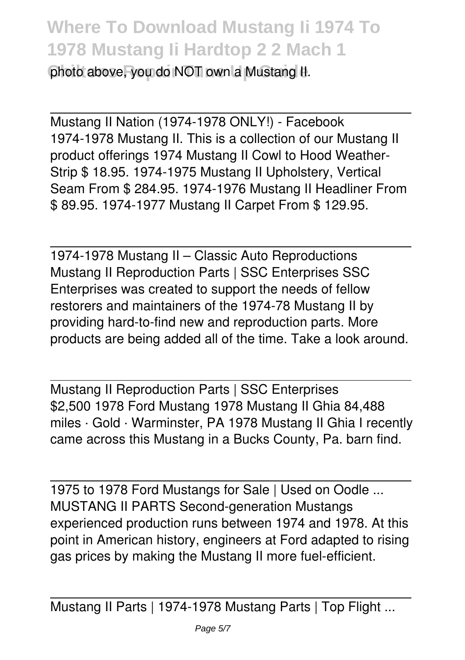photo above, you do NOT own a Mustang II.

Mustang II Nation (1974-1978 ONLY!) - Facebook 1974-1978 Mustang II. This is a collection of our Mustang II product offerings 1974 Mustang II Cowl to Hood Weather-Strip \$ 18.95. 1974-1975 Mustang II Upholstery, Vertical Seam From \$ 284.95. 1974-1976 Mustang II Headliner From \$ 89.95. 1974-1977 Mustang II Carpet From \$ 129.95.

1974-1978 Mustang II – Classic Auto Reproductions Mustang II Reproduction Parts | SSC Enterprises SSC Enterprises was created to support the needs of fellow restorers and maintainers of the 1974-78 Mustang II by providing hard-to-find new and reproduction parts. More products are being added all of the time. Take a look around.

Mustang II Reproduction Parts | SSC Enterprises \$2,500 1978 Ford Mustang 1978 Mustang II Ghia 84,488 miles · Gold · Warminster, PA 1978 Mustang II Ghia I recently came across this Mustang in a Bucks County, Pa. barn find.

1975 to 1978 Ford Mustangs for Sale | Used on Oodle ... MUSTANG II PARTS Second-generation Mustangs experienced production runs between 1974 and 1978. At this point in American history, engineers at Ford adapted to rising gas prices by making the Mustang II more fuel-efficient.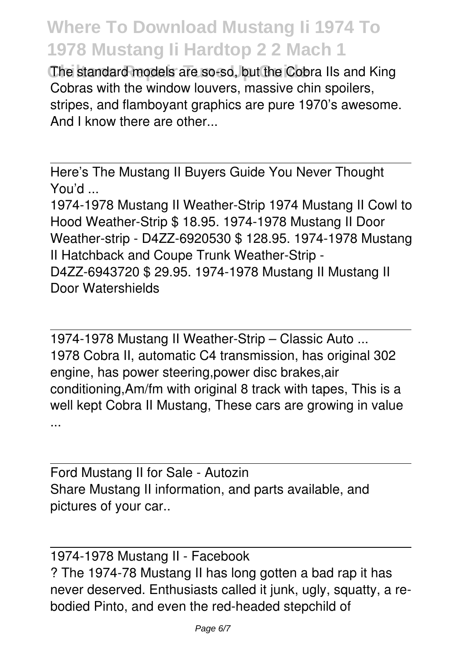The standard models are so-so, but the Cobra IIs and King Cobras with the window louvers, massive chin spoilers, stripes, and flamboyant graphics are pure 1970's awesome. And I know there are other...

Here's The Mustang II Buyers Guide You Never Thought You'd ...

1974-1978 Mustang II Weather-Strip 1974 Mustang II Cowl to Hood Weather-Strip \$ 18.95. 1974-1978 Mustang II Door Weather-strip - D4ZZ-6920530 \$ 128.95. 1974-1978 Mustang II Hatchback and Coupe Trunk Weather-Strip - D4ZZ-6943720 \$ 29.95. 1974-1978 Mustang II Mustang II Door Watershields

1974-1978 Mustang II Weather-Strip – Classic Auto ... 1978 Cobra II, automatic C4 transmission, has original 302 engine, has power steering,power disc brakes,air conditioning,Am/fm with original 8 track with tapes, This is a well kept Cobra II Mustang, These cars are growing in value ...

Ford Mustang II for Sale - Autozin Share Mustang II information, and parts available, and pictures of your car..

1974-1978 Mustang II - Facebook ? The 1974-78 Mustang II has long gotten a bad rap it has never deserved. Enthusiasts called it junk, ugly, squatty, a rebodied Pinto, and even the red-headed stepchild of